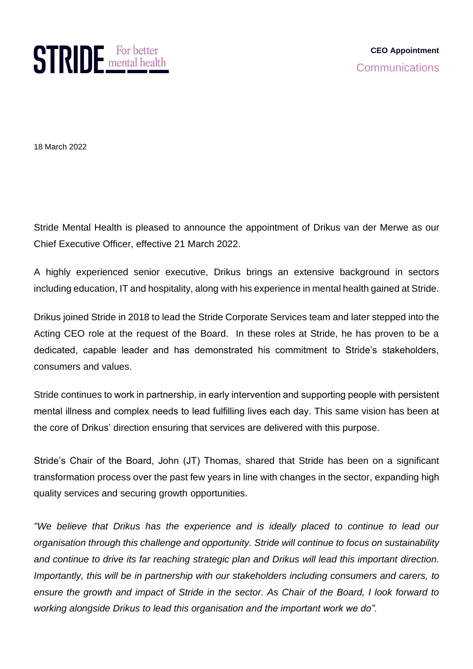

18 March 2022

Stride Mental Health is pleased to announce the appointment of Drikus van der Merwe as our Chief Executive Officer, effective 21 March 2022.

A highly experienced senior executive, Drikus brings an extensive background in sectors including education, IT and hospitality, along with his experience in mental health gained at Stride.

Drikus joined Stride in 2018 to lead the Stride Corporate Services team and later stepped into the Acting CEO role at the request of the Board. In these roles at Stride, he has proven to be a dedicated, capable leader and has demonstrated his commitment to Stride's stakeholders, consumers and values.

Stride continues to work in partnership, in early intervention and supporting people with persistent mental illness and complex needs to lead fulfilling lives each day. This same vision has been at the core of Drikus' direction ensuring that services are delivered with this purpose.

Stride's Chair of the Board, John (JT) Thomas, shared that Stride has been on a significant transformation process over the past few years in line with changes in the sector, expanding high quality services and securing growth opportunities.

*"We believe that Drikus has the experience and is ideally placed to continue to lead our organisation through this challenge and opportunity. Stride will continue to focus on sustainability and continue to drive its far reaching strategic plan and Drikus will lead this important direction. Importantly, this will be in partnership with our stakeholders including consumers and carers, to ensure the growth and impact of Stride in the sector. As Chair of the Board, I look forward to working alongside Drikus to lead this organisation and the important work we do".*